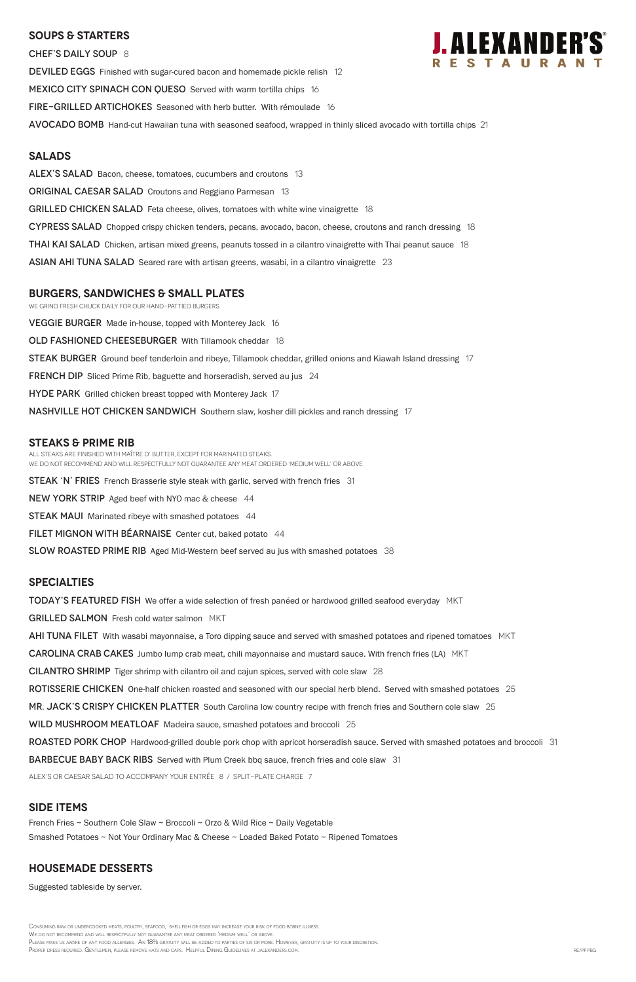#### **SOUPS & Starters**

CHEF'S DAILY SOUP 8 **DEVILED EGGS** Finished with sugar-cured bacon and homemade pickle relish 12 MEXICO CITY SPINACH CON QUESO Served with warm tortilla chips 16 FIRE-GRILLED ARTICHOKES Seasoned with herb butter. With rémoulade 16 Avocado Bomb Hand-cut Hawaiian tuna with seasoned seafood, wrapped in thinly sliced avocado with tortilla chips 21

#### **Salads**

ALEX'S SALAD Bacon, cheese, tomatoes, cucumbers and croutons 13 **ORIGINAL CAESAR SALAD** Croutons and Reggiano Parmesan 13 GRILLED CHICKEN SALAD Feta cheese, olives, tomatoes with white wine vinaigrette 18 CYPRESS SALAD Chopped crispy chicken tenders, pecans, avocado, bacon, cheese, croutons and ranch dressing 18 **THAI KAI SALAD** Chicken, artisan mixed greens, peanuts tossed in a cilantro vinaigrette with Thai peanut sauce 18 ASIAN AHI TUNA SALAD Seared rare with artisan greens, wasabi, in a cilantro vinaigrette 23

We grind fresh chuck daily for our hand-pattied burgers. **VEGGIE BURGER** Made in-house, topped with Monterey Jack 16 OLD FASHIONED CHEESEBURGER With Tillamook cheddar 18 STEAK BURGER Ground beef tenderloin and ribeye, Tillamook cheddar, grilled onions and Kiawah Island dressing 17 **FRENCH DIP** Sliced Prime Rib, baguette and horseradish, served au jus 24 HYDE PARK Grilled chicken breast topped with Monterey Jack 17 **NASHVILLE HOT CHICKEN SANDWICH** Southern slaw, kosher dill pickles and ranch dressing 17

### **burgers, Sandwiches & small plates**

### **STEAKS & Prime Rib**

All steaks are finished with Maître d' butter, except for marinated steaks. We do not recommend and will respectfully not guarantee any meat ordered 'medium well' or above.

**STEAK 'N' FRIES** French Brasserie style steak with garlic, served with french fries 31

NEW YORK STRIP Aged beef with NYO mac & cheese 44

**STEAK MAUI** Marinated ribeye with smashed potatoes 44

FILET MIGNON WITH BEARNAISE Center cut, baked potato 44

SLOW ROASTED PRIME RIB Aged Mid-Western beef served au jus with smashed potatoes 38

Consuming raw or undercooked meats, poultry, seafood, shellfish or eggs may increase your risk of food borne illness. We do not recommend and will respectfully not guarantee any meat ordered 'medium well' or above. Please make us aware of any food allergies. An 18% gratuity will be added to parties of six or more. However, gratuity is up to your discretion. PROPER DRESS REQUIRED. GENTLEMEN, PLEASE REMOVE HATS AND CAPS. HELPFUL DINING GUIDELINES AT JALEXANDERS.COM. REVIT PSON ARE/PP PBG

#### **specialties**

**TODAY'S FEATURED FISH** We offer a wide selection of fresh panéed or hardwood grilled seafood everyday MKT

GRILLED SALMON Fresh cold water salmon MKT

AHI TUNA FILET With wasabi mayonnaise, a Toro dipping sauce and served with smashed potatoes and ripened tomatoes MKT

**CAROLINA CRAB CAKES** Jumbo lump crab meat, chili mayonnaise and mustard sauce. With french fries (LA) MKT

CILANTRO SHRIMP Tiger shrimp with cilantro oil and cajun spices, served with cole slaw 28

ROTISSERIE CHICKEN One-half chicken roasted and seasoned with our special herb blend. Served with smashed potatoes 25

MR. JACK'S CRISPY CHICKEN PLATTER South Carolina low country recipe with french fries and Southern cole slaw 25



WILD MUSHROOM MEATLOAF Madeira sauce, smashed potatoes and broccoli 25

ROASTED PORK CHOP Hardwood-grilled double pork chop with apricot horseradish sauce. Served with smashed potatoes and broccoli 31

**BARBECUE BABY BACK RIBS** Served with Plum Creek bbq sauce, french fries and cole slaw 31

ALEX's or Caesar salad to accompany your entrée 8 / split-plate charge 7

#### **SIDE ITEMS**

French Fries ~ Southern Cole Slaw ~ Broccoli ~ Orzo & Wild Rice ~ Daily Vegetable

Smashed Potatoes ~ Not Your Ordinary Mac & Cheese ~ Loaded Baked Potato ~ Ripened Tomatoes

### **Housemade DESSERTS**

Suggested tableside by server.